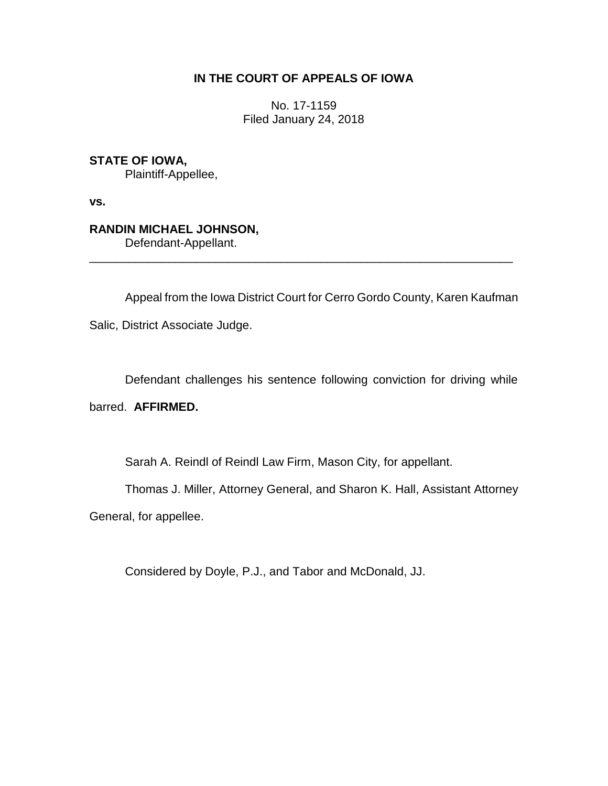## **IN THE COURT OF APPEALS OF IOWA**

No. 17-1159 Filed January 24, 2018

**STATE OF IOWA,** Plaintiff-Appellee,

**vs.**

**RANDIN MICHAEL JOHNSON,** Defendant-Appellant.

\_\_\_\_\_\_\_\_\_\_\_\_\_\_\_\_\_\_\_\_\_\_\_\_\_\_\_\_\_\_\_\_\_\_\_\_\_\_\_\_\_\_\_\_\_\_\_\_\_\_\_\_\_\_\_\_\_\_\_\_\_\_\_\_

Appeal from the Iowa District Court for Cerro Gordo County, Karen Kaufman

Salic, District Associate Judge.

Defendant challenges his sentence following conviction for driving while

barred. **AFFIRMED.**

Sarah A. Reindl of Reindl Law Firm, Mason City, for appellant.

Thomas J. Miller, Attorney General, and Sharon K. Hall, Assistant Attorney

General, for appellee.

Considered by Doyle, P.J., and Tabor and McDonald, JJ.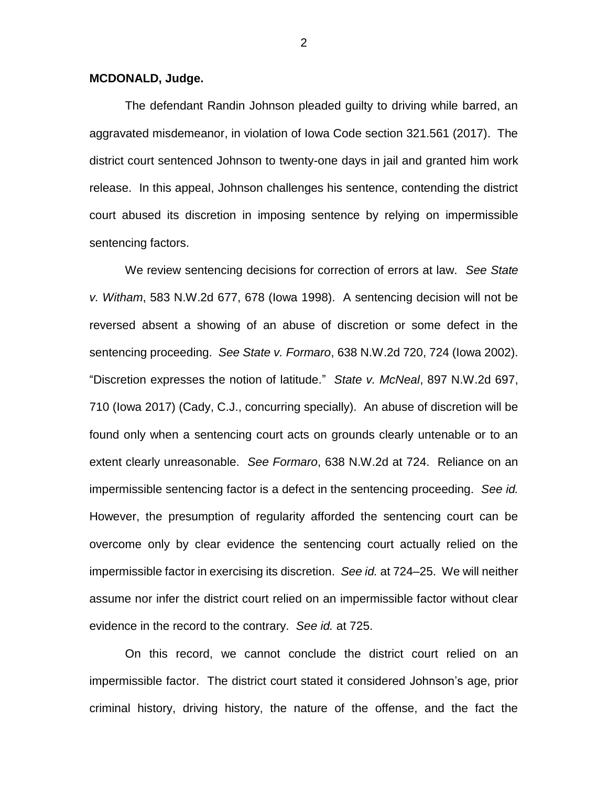## **MCDONALD, Judge.**

The defendant Randin Johnson pleaded guilty to driving while barred, an aggravated misdemeanor, in violation of Iowa Code section 321.561 (2017). The district court sentenced Johnson to twenty-one days in jail and granted him work release. In this appeal, Johnson challenges his sentence, contending the district court abused its discretion in imposing sentence by relying on impermissible sentencing factors.

We review sentencing decisions for correction of errors at law. *See State v. Witham*, 583 N.W.2d 677, 678 (Iowa 1998). A sentencing decision will not be reversed absent a showing of an abuse of discretion or some defect in the sentencing proceeding. *See State v. Formaro*, 638 N.W.2d 720, 724 (Iowa 2002). "Discretion expresses the notion of latitude." *State v. McNeal*, 897 N.W.2d 697, 710 (Iowa 2017) (Cady, C.J., concurring specially). An abuse of discretion will be found only when a sentencing court acts on grounds clearly untenable or to an extent clearly unreasonable. *See Formaro*, 638 N.W.2d at 724. Reliance on an impermissible sentencing factor is a defect in the sentencing proceeding. *See id.*  However, the presumption of regularity afforded the sentencing court can be overcome only by clear evidence the sentencing court actually relied on the impermissible factor in exercising its discretion. *See id.* at 724–25. We will neither assume nor infer the district court relied on an impermissible factor without clear evidence in the record to the contrary. *See id.* at 725.

On this record, we cannot conclude the district court relied on an impermissible factor. The district court stated it considered Johnson's age, prior criminal history, driving history, the nature of the offense, and the fact the